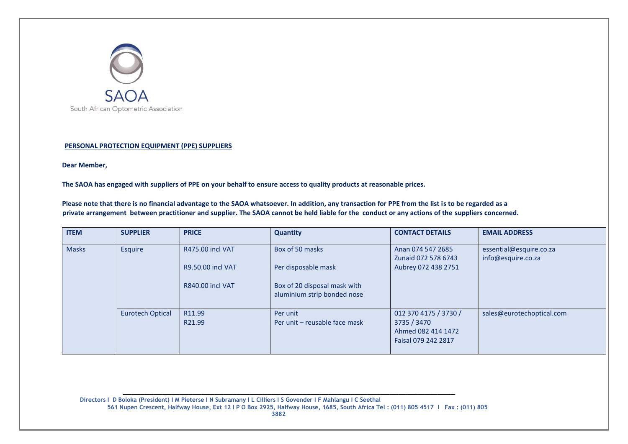

## **PERSONAL PROTECTION EQUIPMENT (PPE) SUPPLIERS**

**Dear Member,**

**The SAOA has engaged with suppliers of PPE on your behalf to ensure access to quality products at reasonable prices.** 

**Please note that there is no financial advantage to the SAOA whatsoever. In addition, any transaction for PPE from the list is to be regarded as a private arrangement between practitioner and supplier. The SAOA cannot be held liable for the conduct or any actions of the suppliers concerned.**

| <b>ITEM</b>  | <b>SUPPLIER</b>         | <b>PRICE</b>                                                                   | <b>Quantity</b>                                                          | <b>CONTACT DETAILS</b>                                                            | <b>EMAIL ADDRESS</b>                          |
|--------------|-------------------------|--------------------------------------------------------------------------------|--------------------------------------------------------------------------|-----------------------------------------------------------------------------------|-----------------------------------------------|
| <b>Masks</b> | Esquire                 | <b>R475.00 incl VAT</b><br><b>R9.50.00 incl VAT</b><br><b>R840.00 incl VAT</b> | Box of 50 masks<br>Per disposable mask<br>Box of 20 disposal mask with   | Anan 074 547 2685<br>Zunaid 072 578 6743<br>Aubrey 072 438 2751                   | essential@esquire.co.za<br>info@esquire.co.za |
|              | <b>Eurotech Optical</b> | R11.99<br>R21.99                                                               | aluminium strip bonded nose<br>Per unit<br>Per unit - reusable face mask | 012 370 4175 / 3730 /<br>3735 / 3470<br>Ahmed 082 414 1472<br>Faisal 079 242 2817 | sales@eurotechoptical.com                     |

 **Directors I D Boloka (President) I M Pieterse I N Subramany I L Cilliers I S Govender I F Mahlangu I C Seethal 561 Nupen Crescent, Halfway House, Ext 12 I P O Box 2925, Halfway House, 1685, South Africa Tel : (011) 805 4517 I Fax : (011) 805 3882**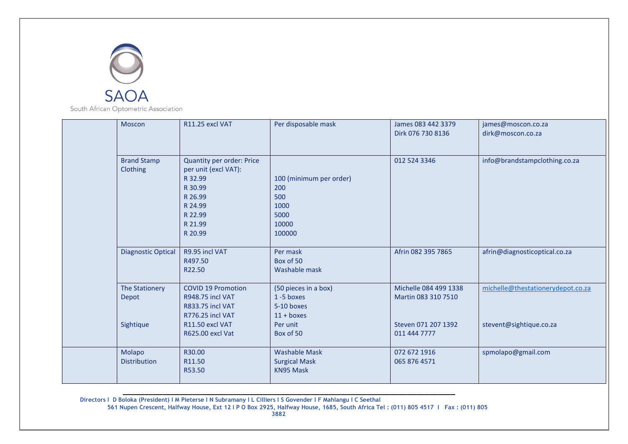

| Moscon                               | R11.25 excl VAT                                                                                                                | Per disposable mask                                                                | James 083 442 3379<br>Dirk 076 730 8136                             | james@moscon.co.za<br>dirk@moscon.co.za                      |
|--------------------------------------|--------------------------------------------------------------------------------------------------------------------------------|------------------------------------------------------------------------------------|---------------------------------------------------------------------|--------------------------------------------------------------|
| <b>Brand Stamp</b><br>Clothing       | Quantity per order: Price<br>per unit (excl VAT):<br>R 32.99<br>R 30.99<br>R 26.99<br>R 24.99<br>R 22.99<br>R 21.99<br>R 20.99 | 100 (minimum per order)<br>200<br>500<br>1000<br>5000<br>10000<br>100000           | 012 524 3346                                                        | info@brandstampclothing.co.za                                |
| <b>Diagnostic Optical</b>            | R9.95 incl VAT<br>R497.50<br>R22.50                                                                                            | Per mask<br>Box of 50<br>Washable mask                                             | Afrin 082 395 7865                                                  | afrin@diagnosticoptical.co.za                                |
| The Stationery<br>Depot<br>Sightique | <b>COVID 19 Promotion</b><br><b>R948.75 incl VAT</b><br><b>R833.75 incl VAT</b><br><b>R776.25 incl VAT</b><br>R11.50 excl VAT  | (50 pieces in a box)<br>1-5 boxes<br>5-10 boxes<br>$11 + \text{boxes}$<br>Per unit | Michelle 084 499 1338<br>Martin 083 310 7510<br>Steven 071 207 1392 | michelle@thestationerydepot.co.za<br>stevent@sightique.co.za |
|                                      | R625.00 excl Vat                                                                                                               | Box of 50                                                                          | 011 444 7777                                                        |                                                              |
| Molapo<br><b>Distribution</b>        | R30.00<br>R11.50<br>R53.50                                                                                                     | <b>Washable Mask</b><br><b>Surgical Mask</b><br><b>KN95 Mask</b>                   | 072 672 1916<br>065 876 4571                                        | spmolapo@gmail.com                                           |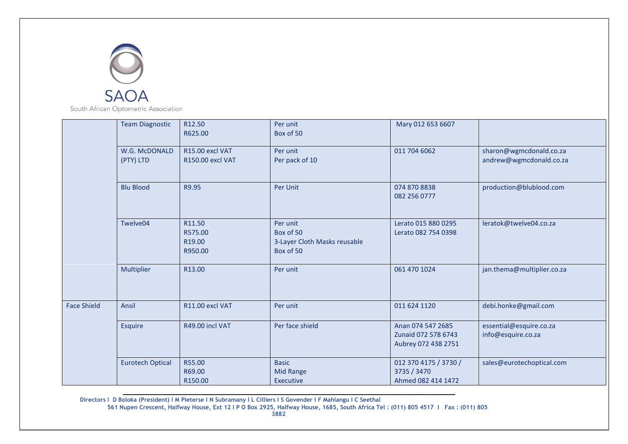

South African Optometric Association

|                    | <b>Team Diagnostic</b>     | R12.50<br>R625.00                                  | Per unit<br>Box of 50                                              | Mary 012 653 6607                                               |                                                    |
|--------------------|----------------------------|----------------------------------------------------|--------------------------------------------------------------------|-----------------------------------------------------------------|----------------------------------------------------|
|                    | W.G. McDONALD<br>(PTY) LTD | R15.00 excl VAT<br><b>R150.00 excl VAT</b>         | Per unit<br>Per pack of 10                                         | 011 704 6062                                                    | sharon@wgmcdonald.co.za<br>andrew@wgmcdonald.co.za |
|                    | <b>Blu Blood</b>           | R9.95                                              | Per Unit                                                           | 074 870 8838<br>082 256 0777                                    | production@blublood.com                            |
|                    | Twelve04                   | R11.50<br>R575.00<br>R <sub>19.00</sub><br>R950.00 | Per unit<br>Box of 50<br>3-Layer Cloth Masks reusable<br>Box of 50 | Lerato 015 880 0295<br>Lerato 082 754 0398                      | leratok@twelve04.co.za                             |
|                    | Multiplier                 | R13.00                                             | Per unit                                                           | 061 470 1024                                                    | jan.thema@multiplier.co.za                         |
| <b>Face Shield</b> | Ansil                      | R11.00 excl VAT                                    | Per unit                                                           | 011 624 1120                                                    | debi.honke@gmail.com                               |
|                    | Esquire                    | R49.00 incl VAT                                    | Per face shield                                                    | Anan 074 547 2685<br>Zunaid 072 578 6743<br>Aubrey 072 438 2751 | essential@esquire.co.za<br>info@esquire.co.za      |
|                    | <b>Eurotech Optical</b>    | R55.00<br>R69.00<br>R150.00                        | <b>Basic</b><br><b>Mid Range</b><br>Executive                      | 012 370 4175 / 3730 /<br>3735 / 3470<br>Ahmed 082 414 1472      | sales@eurotechoptical.com                          |

 **Directors I D Boloka (President) I M Pieterse I N Subramany I L Cilliers I S Govender I F Mahlangu I C Seethal 561 Nupen Crescent, Halfway House, Ext 12 I P O Box 2925, Halfway House, 1685, South Africa Tel : (011) 805 4517 I Fax : (011) 805 3882**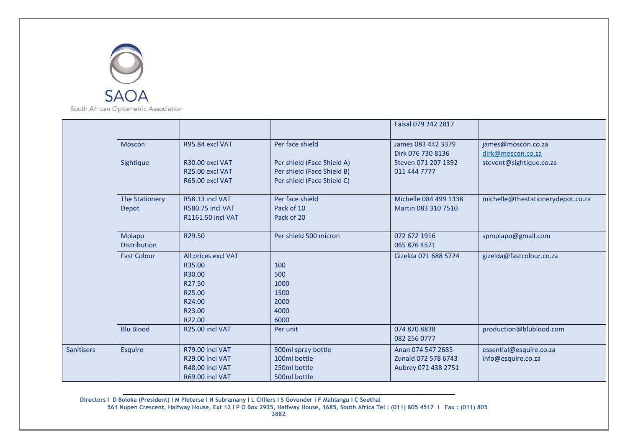

|                   |                                |                                                                                           |                                                                                        | Faisal 079 242 2817                                             |                                               |
|-------------------|--------------------------------|-------------------------------------------------------------------------------------------|----------------------------------------------------------------------------------------|-----------------------------------------------------------------|-----------------------------------------------|
|                   | <b>Moscon</b>                  | R95.84 excl VAT                                                                           | Per face shield                                                                        | James 083 442 3379<br>Dirk 076 730 8136                         | james@moscon.co.za<br>dirk@moscon.co.za       |
|                   | Sightique                      | R30.00 excl VAT<br>R25.00 excl VAT<br>R65.00 excl VAT                                     | Per shield (Face Shield A)<br>Per shield (Face Shield B)<br>Per shield (Face Shield C) | Steven 071 207 1392<br>011 444 7777                             | stevent@sightique.co.za                       |
|                   | <b>The Stationery</b><br>Depot | R58.13 incl VAT<br><b>R580.75 incl VAT</b><br><b>R1161.50 incl VAT</b>                    | Per face shield<br>Pack of 10<br>Pack of 20                                            | Michelle 084 499 1338<br>Martin 083 310 7510                    | michelle@thestationerydepot.co.za             |
|                   | Molapo<br><b>Distribution</b>  | R29.50                                                                                    | Per shield 500 micron                                                                  | 072 672 1916<br>065 876 4571                                    | spmolapo@gmail.com                            |
|                   | <b>Fast Colour</b>             | All prices excl VAT<br>R35.00<br>R30.00<br>R27.50<br>R25.00<br>R24.00<br>R23.00<br>R22.00 | 100<br>500<br>1000<br>1500<br>2000<br>4000<br>6000                                     | Gizelda 071 688 5724                                            | gizelda@fastcolour.co.za                      |
|                   | <b>Blu Blood</b>               | R25.00 incl VAT                                                                           | Per unit                                                                               | 074 870 8838<br>082 256 0777                                    | production@blublood.com                       |
| <b>Sanitisers</b> | Esquire                        | R79.00 incl VAT<br>R29.00 incl VAT<br>R48.00 incl VAT<br>R69.00 incl VAT                  | 500ml spray bottle<br>100ml bottle<br>250ml bottle<br>500ml bottle                     | Anan 074 547 2685<br>Zunaid 072 578 6743<br>Aubrey 072 438 2751 | essential@esquire.co.za<br>info@esquire.co.za |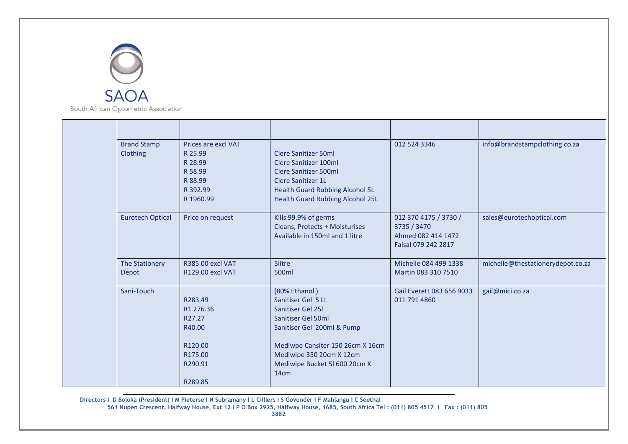

| <b>Brand Stamp</b><br>Clothing | Prices are excl VAT<br>R 25.99<br>R 28.99<br>R 58.99<br>R 88.99<br>R 392.99<br>R 1960.99 | <b>Clere Sanitizer 50ml</b><br>Clere Sanitizer 100ml<br>Clere Sanitizer 500ml<br><b>Clere Sanitizer 1L</b><br><b>Health Guard Rubbing Alcohol 5L</b><br><b>Health Guard Rubbing Alcohol 25L</b>                       | 012 524 3346                                                                      | info@brandstampclothing.co.za     |
|--------------------------------|------------------------------------------------------------------------------------------|-----------------------------------------------------------------------------------------------------------------------------------------------------------------------------------------------------------------------|-----------------------------------------------------------------------------------|-----------------------------------|
| <b>Eurotech Optical</b>        | Price on request                                                                         | Kills 99.9% of germs<br>Cleans, Protects + Moisturises<br>Available in 150ml and 1 litre                                                                                                                              | 012 370 4175 / 3730 /<br>3735 / 3470<br>Ahmed 082 414 1472<br>Faisal 079 242 2817 | sales@eurotechoptical.com         |
| The Stationery<br>Depot        | R385.00 excl VAT<br><b>R129.00 excl VAT</b>                                              | 5litre<br>500 <sub>ml</sub>                                                                                                                                                                                           | Michelle 084 499 1338<br>Martin 083 310 7510                                      | michelle@thestationerydepot.co.za |
| Sani-Touch                     | R283.49<br>R1 276.36<br>R27.27<br>R40.00<br>R <sub>120.00</sub><br>R175.00<br>R290.91    | (80% Ethanol)<br>Sanitiser Gel 5 Lt<br>Sanitiser Gel 25I<br>Sanitiser Gel 50ml<br>Sanitiser Gel 200ml & Pump<br>Mediwpe Cansiter 150 26cm X 16cm<br>Mediwipe 350 20cm X 12cm<br>Mediwipe Bucket 5l 600 20cm X<br>14cm | Gail Everett 083 656 9033<br>011 791 4860                                         | gail@mici.co.za                   |
|                                | R289.85                                                                                  |                                                                                                                                                                                                                       |                                                                                   |                                   |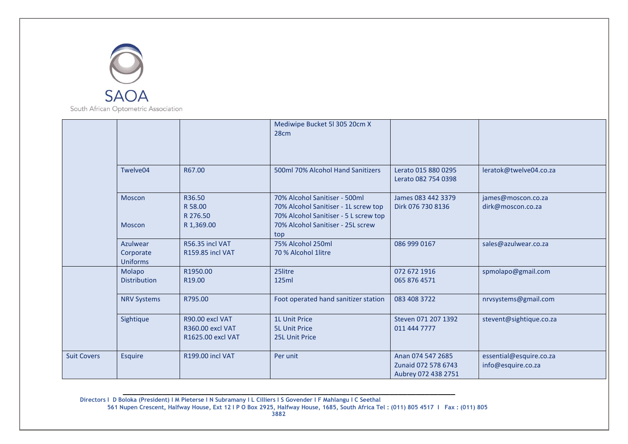

|                    |                                          |                                                                 | Mediwipe Bucket 5l 305 20cm X<br>28 <sub>cm</sub>                                                                                                   |                                                                 |                                               |
|--------------------|------------------------------------------|-----------------------------------------------------------------|-----------------------------------------------------------------------------------------------------------------------------------------------------|-----------------------------------------------------------------|-----------------------------------------------|
|                    | Twelve04                                 | R67.00                                                          | 500ml 70% Alcohol Hand Sanitizers                                                                                                                   | Lerato 015 880 0295<br>Lerato 082 754 0398                      | leratok@twelve04.co.za                        |
|                    | Moscon<br><b>Moscon</b>                  | R36.50<br>R 58.00<br>R 276.50<br>R 1,369.00                     | 70% Alcohol Sanitiser - 500ml<br>70% Alcohol Sanitiser - 1L screw top<br>70% Alcohol Sanitiser - 5 L screw top<br>70% Alcohol Sanitiser - 25L screw | James 083 442 3379<br>Dirk 076 730 8136                         | james@moscon.co.za<br>dirk@moscon.co.za       |
|                    | Azulwear<br>Corporate<br><b>Uniforms</b> | R56.35 incl VAT<br><b>R159.85 incl VAT</b>                      | top<br>75% Alcohol 250ml<br>70 % Alcohol 1litre                                                                                                     | 086 999 0167                                                    | sales@azulwear.co.za                          |
|                    | Molapo<br><b>Distribution</b>            | R1950.00<br>R19.00                                              | 25litre<br>125ml                                                                                                                                    | 072 672 1916<br>065 876 4571                                    | spmolapo@gmail.com                            |
|                    | <b>NRV Systems</b>                       | R795.00                                                         | Foot operated hand sanitizer station                                                                                                                | 083 408 3722                                                    | nrvsystems@gmail.com                          |
|                    | Sightique                                | R90.00 excl VAT<br><b>R360.00 excl VAT</b><br>R1625.00 excl VAT | <b>1L Unit Price</b><br><b>5L Unit Price</b><br>25L Unit Price                                                                                      | Steven 071 207 1392<br>011 444 7777                             | stevent@sightique.co.za                       |
| <b>Suit Covers</b> | <b>Esquire</b>                           | <b>R199.00 incl VAT</b>                                         | Per unit                                                                                                                                            | Anan 074 547 2685<br>Zunaid 072 578 6743<br>Aubrey 072 438 2751 | essential@esquire.co.za<br>info@esquire.co.za |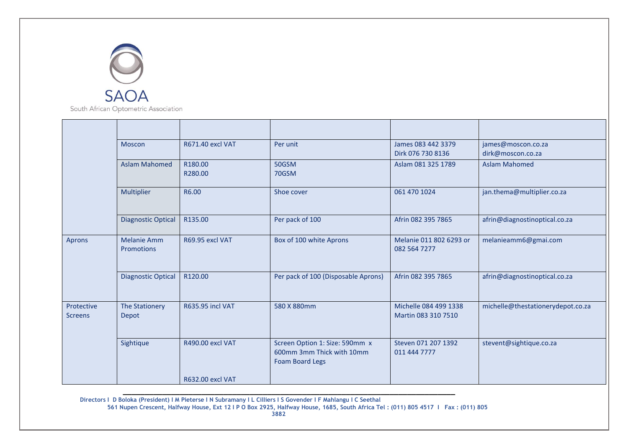

|                              | Moscon                                  | R671.40 excl VAT        | Per unit                                                                              | James 083 442 3379<br>Dirk 076 730 8136      | james@moscon.co.za<br>dirk@moscon.co.za |
|------------------------------|-----------------------------------------|-------------------------|---------------------------------------------------------------------------------------|----------------------------------------------|-----------------------------------------|
|                              | <b>Aslam Mahomed</b>                    | R180.00<br>R280.00      | 50GSM<br>70GSM                                                                        | Aslam 081 325 1789                           | <b>Aslam Mahomed</b>                    |
|                              | Multiplier                              | R6.00                   | Shoe cover                                                                            | 061 470 1024                                 | jan.thema@multiplier.co.za              |
|                              | <b>Diagnostic Optical</b>               | R135.00                 | Per pack of 100                                                                       | Afrin 082 395 7865                           | afrin@diagnostinoptical.co.za           |
| Aprons                       | <b>Melanie Amm</b><br><b>Promotions</b> | R69.95 excl VAT         | Box of 100 white Aprons                                                               | Melanie 011 802 6293 or<br>082 564 7277      | melanieamm6@gmai.com                    |
|                              | <b>Diagnostic Optical</b>               | R120.00                 | Per pack of 100 (Disposable Aprons)                                                   | Afrin 082 395 7865                           | afrin@diagnostinoptical.co.za           |
| Protective<br><b>Screens</b> | <b>The Stationery</b><br><b>Depot</b>   | <b>R635.95 incl VAT</b> | 580 X 880mm                                                                           | Michelle 084 499 1338<br>Martin 083 310 7510 | michelle@thestationerydepot.co.za       |
|                              | Sightique                               | R490.00 excl VAT        | Screen Option 1: Size: 590mm x<br>600mm 3mm Thick with 10mm<br><b>Foam Board Legs</b> | Steven 071 207 1392<br>011 444 7777          | stevent@sightique.co.za                 |
|                              |                                         | <b>R632.00 excl VAT</b> |                                                                                       |                                              |                                         |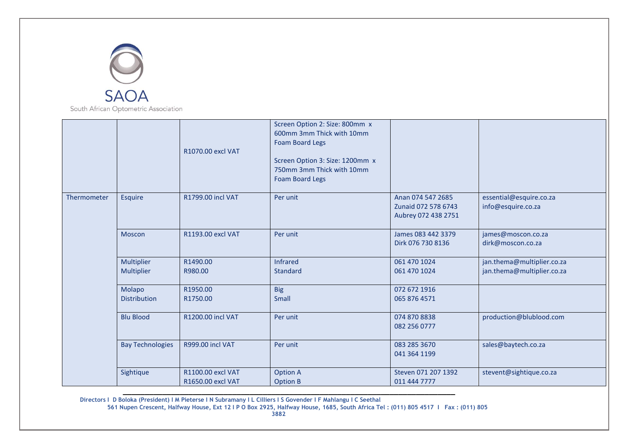

|             |                               | R1070.00 excl VAT                      | Screen Option 2: Size: 800mm x<br>600mm 3mm Thick with 10mm<br><b>Foam Board Legs</b><br>Screen Option 3: Size: 1200mm x<br>750mm 3mm Thick with 10mm<br><b>Foam Board Legs</b> |                                                                 |                                                          |
|-------------|-------------------------------|----------------------------------------|---------------------------------------------------------------------------------------------------------------------------------------------------------------------------------|-----------------------------------------------------------------|----------------------------------------------------------|
| Thermometer | <b>Esquire</b>                | R1799.00 incl VAT                      | Per unit                                                                                                                                                                        | Anan 074 547 2685<br>Zunaid 072 578 6743<br>Aubrey 072 438 2751 | essential@esquire.co.za<br>info@esquire.co.za            |
|             | Moscon                        | R1193.00 excl VAT                      | Per unit                                                                                                                                                                        | James 083 442 3379<br>Dirk 076 730 8136                         | james@moscon.co.za<br>dirk@moscon.co.za                  |
|             | Multiplier<br>Multiplier      | R1490.00<br>R980.00                    | Infrared<br><b>Standard</b>                                                                                                                                                     | 061 470 1024<br>061 470 1024                                    | jan.thema@multiplier.co.za<br>jan.thema@multiplier.co.za |
|             | Molapo<br><b>Distribution</b> | R1950.00<br>R1750.00                   | <b>Big</b><br><b>Small</b>                                                                                                                                                      | 072 672 1916<br>065 876 4571                                    |                                                          |
|             | <b>Blu Blood</b>              | R1200.00 incl VAT                      | Per unit                                                                                                                                                                        | 074 870 8838<br>082 256 0777                                    | production@blublood.com                                  |
|             | <b>Bay Technologies</b>       | R999.00 incl VAT                       | Per unit                                                                                                                                                                        | 083 285 3670<br>041 364 1199                                    | sales@baytech.co.za                                      |
|             | Sightique                     | R1100.00 excl VAT<br>R1650.00 excl VAT | <b>Option A</b><br><b>Option B</b>                                                                                                                                              | Steven 071 207 1392<br>011 444 7777                             | stevent@sightique.co.za                                  |